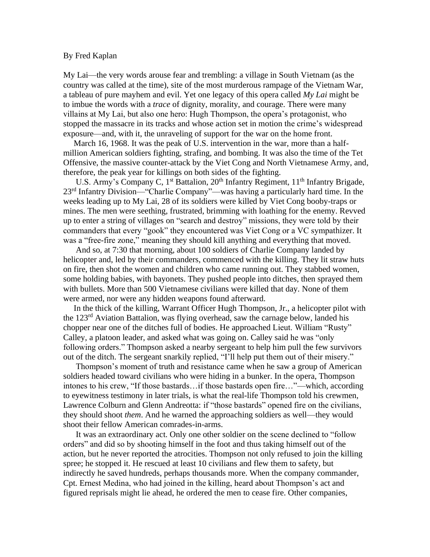## By Fred Kaplan

My Lai—the very words arouse fear and trembling: a village in South Vietnam (as the country was called at the time), site of the most murderous rampage of the Vietnam War, a tableau of pure mayhem and evil. Yet one legacy of this opera called *My Lai* might be to imbue the words with a *trace* of dignity, morality, and courage. There were many villains at My Lai, but also one hero: Hugh Thompson, the opera's protagonist, who stopped the massacre in its tracks and whose action set in motion the crime's widespread exposure—and, with it, the unraveling of support for the war on the home front.

 March 16, 1968. It was the peak of U.S. intervention in the war, more than a halfmillion American soldiers fighting, strafing, and bombing. It was also the time of the Tet Offensive, the massive counter-attack by the Viet Cong and North Vietnamese Army, and, therefore, the peak year for killings on both sides of the fighting.

U.S. Army's Company C, 1<sup>st</sup> Battalion, 20<sup>th</sup> Infantry Regiment, 11<sup>th</sup> Infantry Brigade, 23rd Infantry Division—"Charlie Company"—was having a particularly hard time. In the weeks leading up to My Lai, 28 of its soldiers were killed by Viet Cong booby-traps or mines. The men were seething, frustrated, brimming with loathing for the enemy. Revved up to enter a string of villages on "search and destroy" missions, they were told by their commanders that every "gook" they encountered was Viet Cong or a VC sympathizer. It was a "free-fire zone," meaning they should kill anything and everything that moved.

 And so, at 7:30 that morning, about 100 soldiers of Charlie Company landed by helicopter and, led by their commanders, commenced with the killing. They lit straw huts on fire, then shot the women and children who came running out. They stabbed women, some holding babies, with bayonets. They pushed people into ditches, then sprayed them with bullets. More than 500 Vietnamese civilians were killed that day. None of them were armed, nor were any hidden weapons found afterward.

 In the thick of the killing, Warrant Officer Hugh Thompson, Jr., a helicopter pilot with the 123rd Aviation Battalion, was flying overhead, saw the carnage below, landed his chopper near one of the ditches full of bodies. He approached Lieut. William "Rusty" Calley, a platoon leader, and asked what was going on. Calley said he was "only following orders." Thompson asked a nearby sergeant to help him pull the few survivors out of the ditch. The sergeant snarkily replied, "I'll help put them out of their misery."

 Thompson's moment of truth and resistance came when he saw a group of American soldiers headed toward civilians who were hiding in a bunker. In the opera, Thompson intones to his crew, "If those bastards…if those bastards open fire…"—which, according to eyewitness testimony in later trials, is what the real-life Thompson told his crewmen, Lawrence Colburn and Glenn Andreotta: if "those bastards" opened fire on the civilians, they should shoot *them*. And he warned the approaching soldiers as well—they would shoot their fellow American comrades-in-arms.

 It was an extraordinary act. Only one other soldier on the scene declined to "follow orders" and did so by shooting himself in the foot and thus taking himself out of the action, but he never reported the atrocities. Thompson not only refused to join the killing spree; he stopped it. He rescued at least 10 civilians and flew them to safety, but indirectly he saved hundreds, perhaps thousands more. When the company commander, Cpt. Ernest Medina, who had joined in the killing, heard about Thompson's act and figured reprisals might lie ahead, he ordered the men to cease fire. Other companies,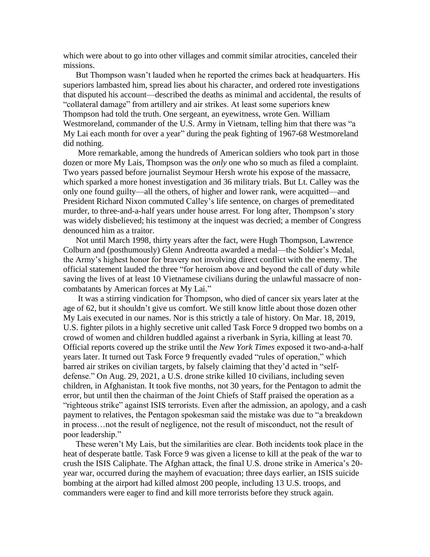which were about to go into other villages and commit similar atrocities, canceled their missions.

 But Thompson wasn't lauded when he reported the crimes back at headquarters. His superiors lambasted him, spread lies about his character, and ordered rote investigations that disputed his account—described the deaths as minimal and accidental, the results of "collateral damage" from artillery and air strikes. At least some superiors knew Thompson had told the truth. One sergeant, an eyewitness, wrote Gen. William Westmoreland, commander of the U.S. Army in Vietnam, telling him that there was "a My Lai each month for over a year" during the peak fighting of 1967-68 Westmoreland did nothing.

 More remarkable, among the hundreds of American soldiers who took part in those dozen or more My Lais, Thompson was the *only* one who so much as filed a complaint. Two years passed before journalist Seymour Hersh wrote his expose of the massacre, which sparked a more honest investigation and 36 military trials. But Lt. Calley was the only one found guilty—all the others, of higher and lower rank, were acquitted—and President Richard Nixon commuted Calley's life sentence, on charges of premeditated murder, to three-and-a-half years under house arrest. For long after, Thompson's story was widely disbelieved; his testimony at the inquest was decried; a member of Congress denounced him as a traitor.

 Not until March 1998, thirty years after the fact, were Hugh Thompson, Lawrence Colburn and (posthumously) Glenn Andreotta awarded a medal—the Soldier's Medal, the Army's highest honor for bravery not involving direct conflict with the enemy. The official statement lauded the three "for heroism above and beyond the call of duty while saving the lives of at least 10 Vietnamese civilians during the unlawful massacre of noncombatants by American forces at My Lai."

 It was a stirring vindication for Thompson, who died of cancer six years later at the age of 62, but it shouldn't give us comfort. We still know little about those dozen other My Lais executed in our names. Nor is this strictly a tale of history. On Mar. 18, 2019, U.S. fighter pilots in a highly secretive unit called Task Force 9 dropped two bombs on a crowd of women and children huddled against a riverbank in Syria, killing at least 70. Official reports covered up the strike until the *New York Times* exposed it two-and-a-half years later. It turned out Task Force 9 frequently evaded "rules of operation," which barred air strikes on civilian targets, by falsely claiming that they'd acted in "selfdefense." On Aug. 29, 2021, a U.S. drone strike killed 10 civilians, including seven children, in Afghanistan. It took five months, not 30 years, for the Pentagon to admit the error, but until then the chairman of the Joint Chiefs of Staff praised the operation as a "righteous strike" against ISIS terrorists. Even after the admission, an apology, and a cash payment to relatives, the Pentagon spokesman said the mistake was due to "a breakdown in process…not the result of negligence, not the result of misconduct, not the result of poor leadership."

 These weren't My Lais, but the similarities are clear. Both incidents took place in the heat of desperate battle. Task Force 9 was given a license to kill at the peak of the war to crush the ISIS Caliphate. The Afghan attack, the final U.S. drone strike in America's 20 year war, occurred during the mayhem of evacuation; three days earlier, an ISIS suicide bombing at the airport had killed almost 200 people, including 13 U.S. troops, and commanders were eager to find and kill more terrorists before they struck again.